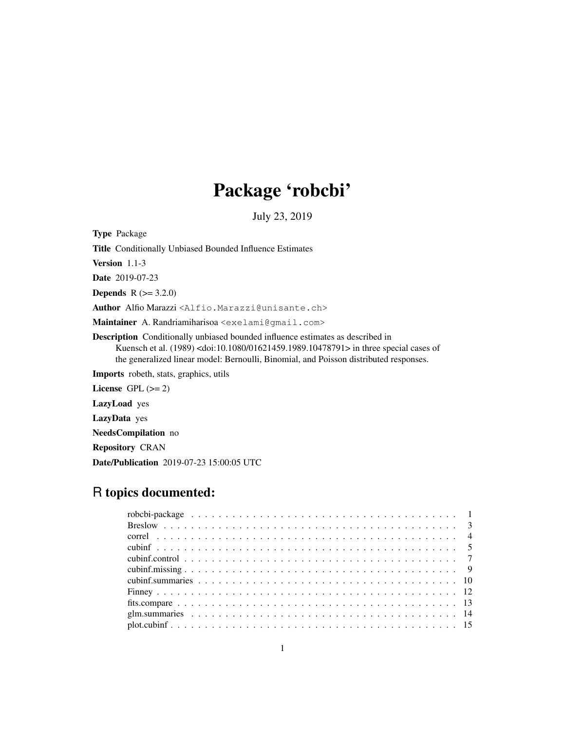# Package 'robcbi'

July 23, 2019

| <b>Type</b> Package                                                                                                                                                                                                                                                                        |
|--------------------------------------------------------------------------------------------------------------------------------------------------------------------------------------------------------------------------------------------------------------------------------------------|
| <b>Title</b> Conditionally Unbiased Bounded Influence Estimates                                                                                                                                                                                                                            |
| <b>Version</b> $1.1-3$                                                                                                                                                                                                                                                                     |
| <b>Date</b> 2019-07-23                                                                                                                                                                                                                                                                     |
| <b>Depends</b> $R (= 3.2.0)$                                                                                                                                                                                                                                                               |
| Author Alfio Marazzi <alfio.marazzi@unisante.ch></alfio.marazzi@unisante.ch>                                                                                                                                                                                                               |
| Maintainer A. Randriamiharisoa <exelami@qmail.com></exelami@qmail.com>                                                                                                                                                                                                                     |
| <b>Description</b> Conditionally unbiased bounded influence estimates as described in<br>Kuensch et al. $(1989)$ <doi:10.1080 01621459.1989.10478791=""> in three special cases of<br/>the generalized linear model: Bernoulli, Binomial, and Poisson distributed responses.</doi:10.1080> |
| <b>Imports</b> robeth, stats, graphics, utils                                                                                                                                                                                                                                              |
| License $GPL (= 2)$                                                                                                                                                                                                                                                                        |
| <b>LazyLoad</b> yes                                                                                                                                                                                                                                                                        |
| <b>LazyData</b> yes                                                                                                                                                                                                                                                                        |
| <b>NeedsCompilation</b> no                                                                                                                                                                                                                                                                 |
| <b>Repository CRAN</b>                                                                                                                                                                                                                                                                     |

Date/Publication 2019-07-23 15:00:05 UTC

# R topics documented: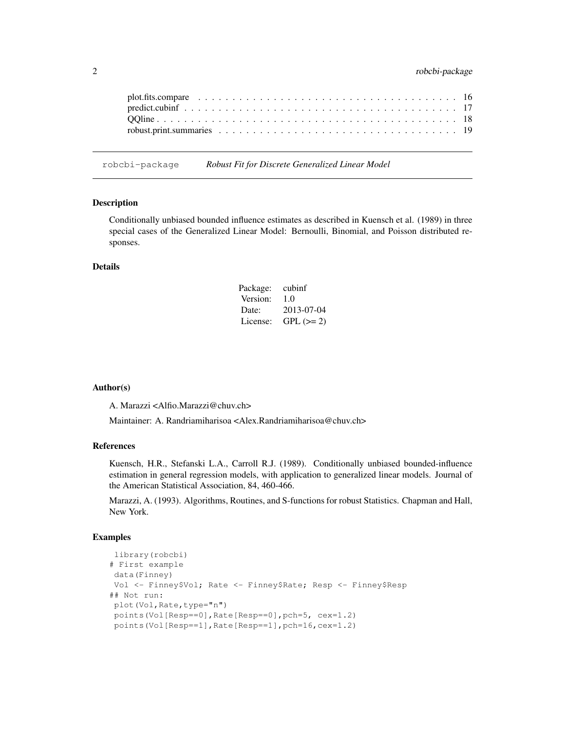robcbi-package *Robust Fit for Discrete Generalized Linear Model*

# Description

Conditionally unbiased bounded influence estimates as described in Kuensch et al. (1989) in three special cases of the Generalized Linear Model: Bernoulli, Binomial, and Poisson distributed responses.

#### Details

| Package: | cubinf     |
|----------|------------|
| Version: | 1.0        |
| Date:    | 2013-07-04 |
| License: | $GPL (=2)$ |

#### Author(s)

A. Marazzi <Alfio.Marazzi@chuv.ch>

Maintainer: A. Randriamiharisoa <Alex.Randriamiharisoa@chuv.ch>

# References

Kuensch, H.R., Stefanski L.A., Carroll R.J. (1989). Conditionally unbiased bounded-influence estimation in general regression models, with application to generalized linear models. Journal of the American Statistical Association, 84, 460-466.

Marazzi, A. (1993). Algorithms, Routines, and S-functions for robust Statistics. Chapman and Hall, New York.

```
library(robcbi)
# First example
data(Finney)
Vol <- Finney$Vol; Rate <- Finney$Rate; Resp <- Finney$Resp
## Not run:
plot(Vol, Rate, type="n")
points(Vol[Resp==0],Rate[Resp==0],pch=5, cex=1.2)
points(Vol[Resp==1],Rate[Resp==1],pch=16,cex=1.2)
```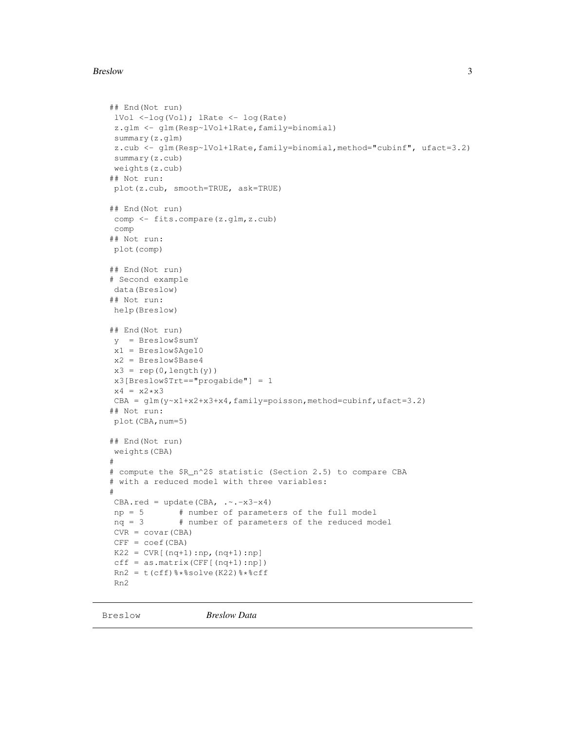#### Breslow 3

```
## End(Not run)
lVol <-log(Vol); lRate <- log(Rate)
z.glm <- glm(Resp~lVol+lRate,family=binomial)
summary(z.glm)
z.cub <- glm(Resp~lVol+lRate,family=binomial,method="cubinf", ufact=3.2)
summary(z.cub)
weights(z.cub)
## Not run:
plot(z.cub, smooth=TRUE, ask=TRUE)
## End(Not run)
comp <- fits.compare(z.glm,z.cub)
comp
## Not run:
plot(comp)
## End(Not run)
# Second example
data(Breslow)
## Not run:
help(Breslow)
## End(Not run)
y = Breslow$sumY
x1 = Breslow$Age10
x2 = Breslow$Base4
x3 = rep(0, length(y))x3[Breslow$Trt=="progabide"] = 1
x4 = x2 \cdot x3CBA = glm(y-x1+x2+x3+x4, family=poisson, method=cubinf,ufact=3.2)## Not run:
plot(CBA,num=5)
## End(Not run)
weights(CBA)
#
# compute the $R_n^2$ statistic (Section 2.5) to compare CBA
# with a reduced model with three variables:
#
CBA.read = update(CBA, \ldots -x3-x4)np = 5 # number of parameters of the full model
nq = 3 # number of parameters of the reduced model
CVR = covar(CBA)
CFF = coef(CBA)
K22 = CVR[ (nq+1):np, (nq+1):np]cff = as.matrix(CFF[(nq+1):np])Rn2 = t(cff)%*%solve(K22)%*%cff
Rn2
```
Breslow *Breslow Data*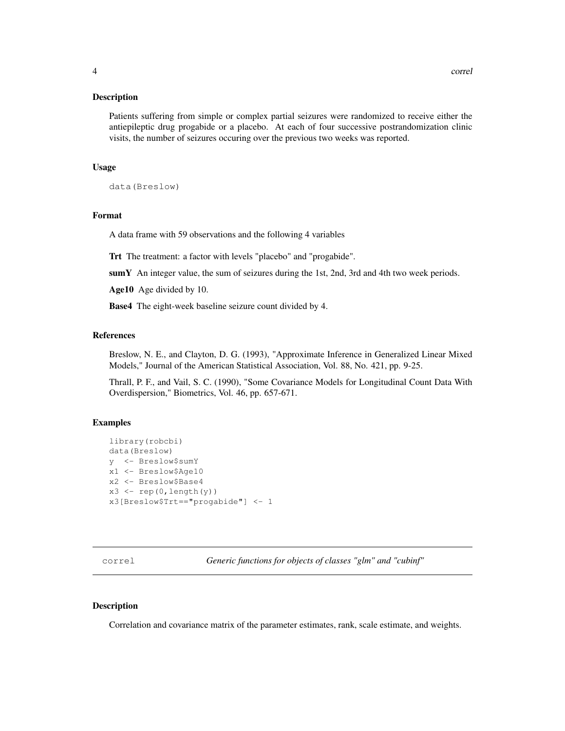Patients suffering from simple or complex partial seizures were randomized to receive either the antiepileptic drug progabide or a placebo. At each of four successive postrandomization clinic visits, the number of seizures occuring over the previous two weeks was reported.

#### Usage

```
data(Breslow)
```
#### Format

A data frame with 59 observations and the following 4 variables

Trt The treatment: a factor with levels "placebo" and "progabide".

sumY An integer value, the sum of seizures during the 1st, 2nd, 3rd and 4th two week periods.

Age10 Age divided by 10.

Base4 The eight-week baseline seizure count divided by 4.

#### References

Breslow, N. E., and Clayton, D. G. (1993), "Approximate Inference in Generalized Linear Mixed Models," Journal of the American Statistical Association, Vol. 88, No. 421, pp. 9-25.

Thrall, P. F., and Vail, S. C. (1990), "Some Covariance Models for Longitudinal Count Data With Overdispersion," Biometrics, Vol. 46, pp. 657-671.

#### Examples

```
library(robcbi)
data(Breslow)
y <- Breslow$sumY
x1 <- Breslow$Age10
x2 <- Breslow$Base4
x3 \leftarrow rep(0, length(y))x3[Breslow$Trt=="progabide"] <- 1
```
correl *Generic functions for objects of classes "glm" and "cubinf"*

#### Description

Correlation and covariance matrix of the parameter estimates, rank, scale estimate, and weights.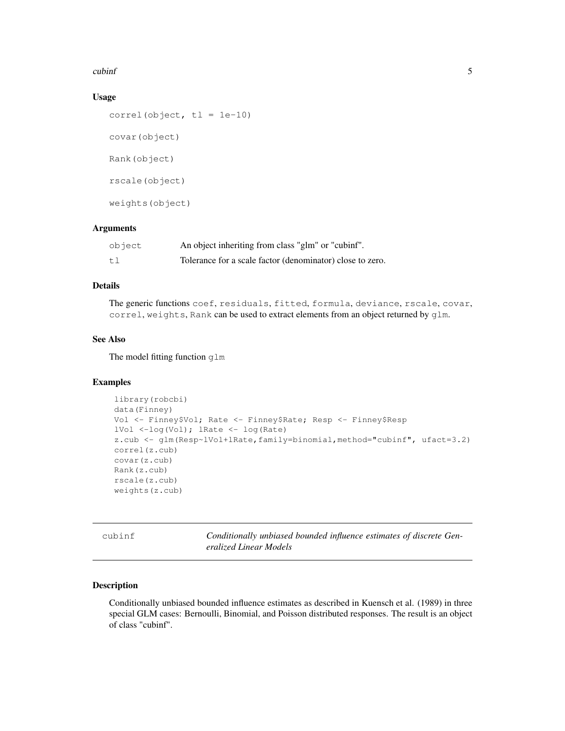#### cubinf 5

# Usage

```
correl(object, t1 = 1e-10)
covar(object)
Rank(object)
rscale(object)
weights(object)
```
# Arguments

| object | An object inheriting from class "glm" or "cubinf".        |
|--------|-----------------------------------------------------------|
| tl     | Tolerance for a scale factor (denominator) close to zero. |

# Details

The generic functions coef, residuals, fitted, formula, deviance, rscale, covar, correl, weights, Rank can be used to extract elements from an object returned by glm.

# See Also

The model fitting function glm

#### Examples

```
library(robcbi)
data(Finney)
Vol <- Finney$Vol; Rate <- Finney$Rate; Resp <- Finney$Resp
lVol <-log(Vol); lRate <- log(Rate)
z.cub <- glm(Resp~lVol+lRate,family=binomial,method="cubinf", ufact=3.2)
correl(z.cub)
covar(z.cub)
Rank(z.cub)
rscale(z.cub)
weights(z.cub)
```
cubinf *Conditionally unbiased bounded influence estimates of discrete Generalized Linear Models*

#### Description

Conditionally unbiased bounded influence estimates as described in Kuensch et al. (1989) in three special GLM cases: Bernoulli, Binomial, and Poisson distributed responses. The result is an object of class "cubinf".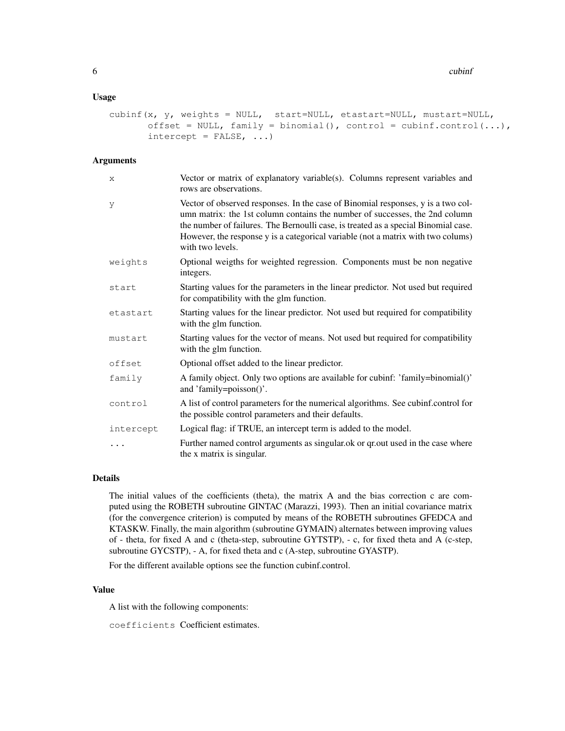#### 6 cubinf

#### Usage

```
cubinf(x, y, weights = NULL, start=NULL, etastart=NULL, mustart=NULL,
      offset = NULL, family = binomial(), control = cubinf.control(...),
      intercept = FALSE, ...)
```
#### Arguments

| X         | Vector or matrix of explanatory variable(s). Columns represent variables and<br>rows are observations.                                                                                                                                                                                                                                                        |
|-----------|---------------------------------------------------------------------------------------------------------------------------------------------------------------------------------------------------------------------------------------------------------------------------------------------------------------------------------------------------------------|
| У         | Vector of observed responses. In the case of Binomial responses, y is a two col-<br>umn matrix: the 1st column contains the number of successes, the 2nd column<br>the number of failures. The Bernoulli case, is treated as a special Binomial case.<br>However, the response y is a categorical variable (not a matrix with two colums)<br>with two levels. |
| weights   | Optional weigths for weighted regression. Components must be non negative<br>integers.                                                                                                                                                                                                                                                                        |
| start     | Starting values for the parameters in the linear predictor. Not used but required<br>for compatibility with the glm function.                                                                                                                                                                                                                                 |
| etastart  | Starting values for the linear predictor. Not used but required for compatibility<br>with the glm function.                                                                                                                                                                                                                                                   |
| mustart   | Starting values for the vector of means. Not used but required for compatibility<br>with the glm function.                                                                                                                                                                                                                                                    |
| offset    | Optional offset added to the linear predictor.                                                                                                                                                                                                                                                                                                                |
| family    | A family object. Only two options are available for cubinf: 'family=binomial()'<br>and 'family=poisson()'.                                                                                                                                                                                                                                                    |
| control   | A list of control parameters for the numerical algorithms. See cubinf.control for<br>the possible control parameters and their defaults.                                                                                                                                                                                                                      |
| intercept | Logical flag: if TRUE, an intercept term is added to the model.                                                                                                                                                                                                                                                                                               |
| $\cdots$  | Further named control arguments as singular ok or qr out used in the case where<br>the x matrix is singular.                                                                                                                                                                                                                                                  |

# Details

The initial values of the coefficients (theta), the matrix A and the bias correction c are computed using the ROBETH subroutine GINTAC (Marazzi, 1993). Then an initial covariance matrix (for the convergence criterion) is computed by means of the ROBETH subroutines GFEDCA and KTASKW. Finally, the main algorithm (subroutine GYMAIN) alternates between improving values of - theta, for fixed A and c (theta-step, subroutine GYTSTP), - c, for fixed theta and A (c-step, subroutine GYCSTP), - A, for fixed theta and c (A-step, subroutine GYASTP).

For the different available options see the function cubinf.control.

# Value

A list with the following components:

coefficients Coefficient estimates.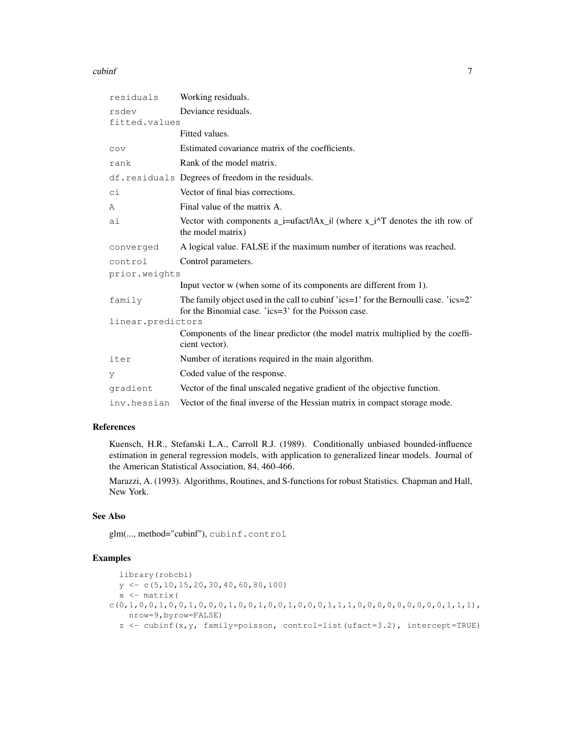#### cubinf 7

| residuals         | Working residuals.                                                                                                                                |
|-------------------|---------------------------------------------------------------------------------------------------------------------------------------------------|
| rsdev             | Deviance residuals.                                                                                                                               |
| fitted.values     |                                                                                                                                                   |
|                   | Fitted values.                                                                                                                                    |
| COV               | Estimated covariance matrix of the coefficients.                                                                                                  |
| rank              | Rank of the model matrix.                                                                                                                         |
|                   | df.residuals Degrees of freedom in the residuals.                                                                                                 |
| сi                | Vector of final bias corrections.                                                                                                                 |
| A                 | Final value of the matrix A.                                                                                                                      |
| аi                | Vector with components $a_i$ = ufact/ $ Ax_i $ (where $x_i^{\prime}$ ) <sup><math>\prime</math></sup> denotes the ith row of<br>the model matrix) |
| converged         | A logical value. FALSE if the maximum number of iterations was reached.                                                                           |
| control           | Control parameters.                                                                                                                               |
| prior.weights     |                                                                                                                                                   |
|                   | Input vector w (when some of its components are different from 1).                                                                                |
| family            | The family object used in the call to cubinf 'ics=1' for the Bernoulli case. 'ics=2'<br>for the Binomial case. 'ics=3' for the Poisson case.      |
| linear.predictors |                                                                                                                                                   |
|                   | Components of the linear predictor (the model matrix multiplied by the coeffi-<br>cient vector).                                                  |
| iter              | Number of iterations required in the main algorithm.                                                                                              |
| V                 | Coded value of the response.                                                                                                                      |
| gradient          | Vector of the final unscaled negative gradient of the objective function.                                                                         |
| inv.hessian       | Vector of the final inverse of the Hessian matrix in compact storage mode.                                                                        |

# References

Kuensch, H.R., Stefanski L.A., Carroll R.J. (1989). Conditionally unbiased bounded-influence estimation in general regression models, with application to generalized linear models. Journal of the American Statistical Association, 84, 460-466.

Marazzi, A. (1993). Algorithms, Routines, and S-functions for robust Statistics. Chapman and Hall, New York.

### See Also

glm(..., method="cubinf"), cubinf.control

```
library(robcbi)
  y \leftarrow c(5, 10, 15, 20, 30, 40, 60, 80, 100)x \leftarrow \text{matrix}c(0,1,0,0,1,0,0,1,0,0,0,1,0,0,1,0,0,1,0,0,0,1,1,1,1,0,0,0,0,0,0,0,0,0,0,1,1,1)nrow=9,byrow=FALSE)
  z <- cubinf(x,y, family=poisson, control=list(ufact=3.2), intercept=TRUE)
```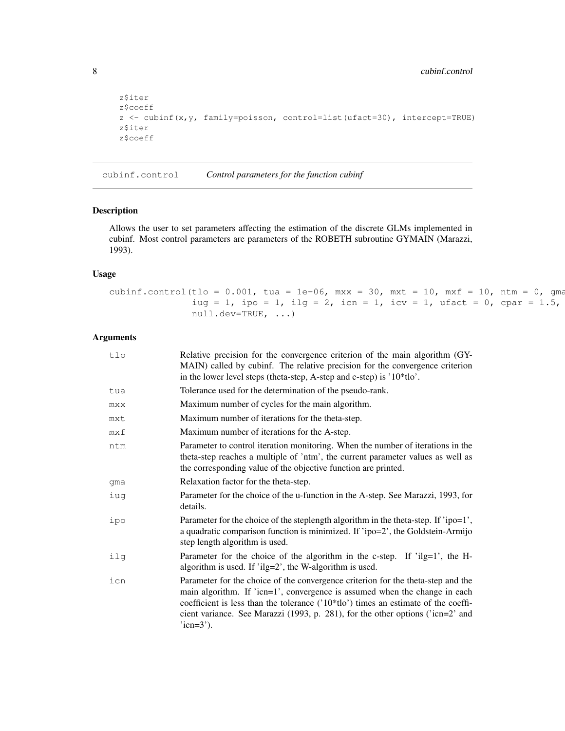```
z$iter
z$coeff
z <- cubinf(x,y, family=poisson, control=list(ufact=30), intercept=TRUE)
z$iter
z$coeff
```
cubinf.control *Control parameters for the function cubinf*

# Description

Allows the user to set parameters affecting the estimation of the discrete GLMs implemented in cubinf. Most control parameters are parameters of the ROBETH subroutine GYMAIN (Marazzi, 1993).

# Usage

```
cubinf.control(tlo = 0.001, tua = 1e-06, mxx = 30, mxt = 10, mxf = 10, ntm = 0, qmaiug = 1, ipo = 1, ilg = 2, icn = 1, icv = 1, ufact = 0, cpar = 1.5,
              null.dev=TRUE, ...)
```
# Arguments

| tlo | Relative precision for the convergence criterion of the main algorithm (GY-<br>MAIN) called by cubinf. The relative precision for the convergence criterion<br>in the lower level steps (theta-step, A-step and c-step) is '10*tlo'.                                                                                                                         |
|-----|--------------------------------------------------------------------------------------------------------------------------------------------------------------------------------------------------------------------------------------------------------------------------------------------------------------------------------------------------------------|
| tua | Tolerance used for the determination of the pseudo-rank.                                                                                                                                                                                                                                                                                                     |
| mxx | Maximum number of cycles for the main algorithm.                                                                                                                                                                                                                                                                                                             |
| mxt | Maximum number of iterations for the theta-step.                                                                                                                                                                                                                                                                                                             |
| mxf | Maximum number of iterations for the A-step.                                                                                                                                                                                                                                                                                                                 |
| ntm | Parameter to control iteration monitoring. When the number of iterations in the<br>theta-step reaches a multiple of 'ntm', the current parameter values as well as<br>the corresponding value of the objective function are printed.                                                                                                                         |
| qma | Relaxation factor for the theta-step.                                                                                                                                                                                                                                                                                                                        |
| iuq | Parameter for the choice of the u-function in the A-step. See Marazzi, 1993, for<br>details.                                                                                                                                                                                                                                                                 |
| ipo | Parameter for the choice of the steplength algorithm in the theta-step. If 'ipo=1',<br>a quadratic comparison function is minimized. If 'ipo=2', the Goldstein-Armijo<br>step length algorithm is used.                                                                                                                                                      |
| ilg | Parameter for the choice of the algorithm in the c-step. If 'ilg=1', the H-<br>algorithm is used. If 'ilg=2', the W-algorithm is used.                                                                                                                                                                                                                       |
| icn | Parameter for the choice of the convergence criterion for the theta-step and the<br>main algorithm. If 'icn=1', convergence is assumed when the change in each<br>coefficient is less than the tolerance $('10*11o')$ times an estimate of the coeffi-<br>cient variance. See Marazzi (1993, p. 281), for the other options ('icn=2' and<br>$'$ icn= $3'$ ). |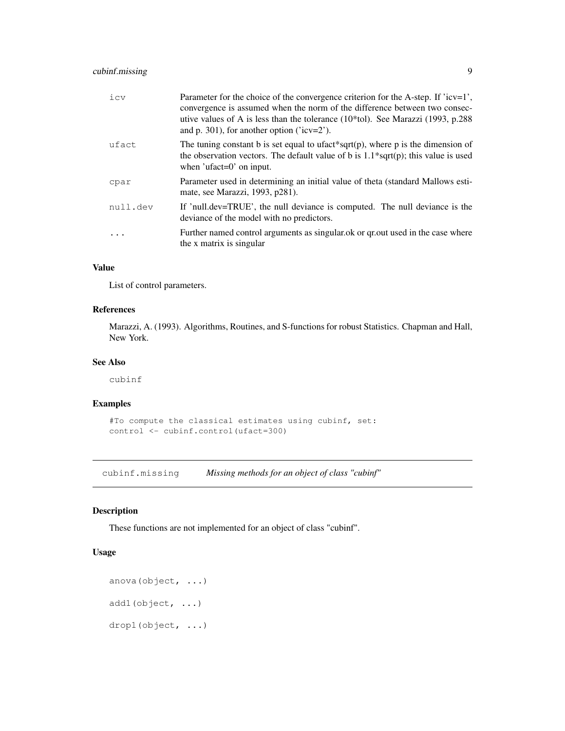# cubinf.missing 9

| icv      | Parameter for the choice of the convergence criterion for the A-step. If ' $icv=1$ ',<br>convergence is assumed when the norm of the difference between two consec-<br>utive values of A is less than the tolerance $(10*tol)$ . See Marazzi $(1993, p.288)$<br>and p. 301), for another option ( $icv=2$ ). |
|----------|--------------------------------------------------------------------------------------------------------------------------------------------------------------------------------------------------------------------------------------------------------------------------------------------------------------|
| ufact    | The tuning constant b is set equal to ufact*sqrt(p), where p is the dimension of<br>the observation vectors. The default value of b is $1.1*sqrt(p)$ ; this value is used<br>when 'ufact= $0$ ' on input.                                                                                                    |
| cpar     | Parameter used in determining an initial value of theta (standard Mallows esti-<br>mate, see Marazzi, 1993, p281).                                                                                                                                                                                           |
| null.dev | If 'null.dev=TRUE', the null deviance is computed. The null deviance is the<br>deviance of the model with no predictors.                                                                                                                                                                                     |
|          | Further named control arguments as singular ok or qr out used in the case where<br>the x matrix is singular                                                                                                                                                                                                  |

#### Value

List of control parameters.

# References

Marazzi, A. (1993). Algorithms, Routines, and S-functions for robust Statistics. Chapman and Hall, New York.

# See Also

cubinf

#### Examples

```
#To compute the classical estimates using cubinf, set:
control <- cubinf.control(ufact=300)
```
cubinf.missing *Missing methods for an object of class "cubinf"*

# Description

These functions are not implemented for an object of class "cubinf".

# Usage

```
anova(object, ...)
add1(object, ...)
drop1(object, ...)
```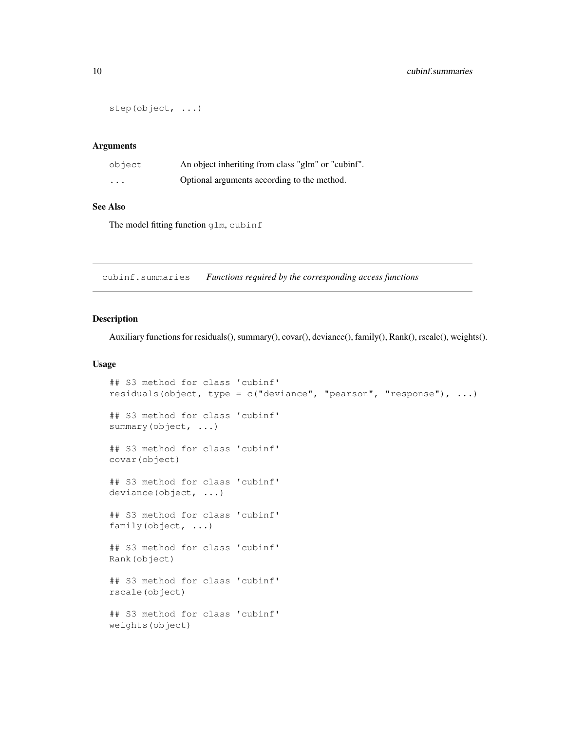```
step(object, ...)
```
#### Arguments

| object   | An object inheriting from class "glm" or "cubinf". |
|----------|----------------------------------------------------|
| $\cdots$ | Optional arguments according to the method.        |

#### See Also

The model fitting function qlm, cubinf

cubinf.summaries *Functions required by the corresponding access functions*

# Description

Auxiliary functions for residuals(), summary(), covar(), deviance(), family(), Rank(), rscale(), weights().

#### Usage

```
## S3 method for class 'cubinf'
residuals(object, type = c("deviance", "pearson", "response"), ...)
## S3 method for class 'cubinf'
summary(object, ...)
## S3 method for class 'cubinf'
covar(object)
## S3 method for class 'cubinf'
deviance(object, ...)
## S3 method for class 'cubinf'
family(object, ...)
## S3 method for class 'cubinf'
Rank(object)
## S3 method for class 'cubinf'
rscale(object)
## S3 method for class 'cubinf'
weights(object)
```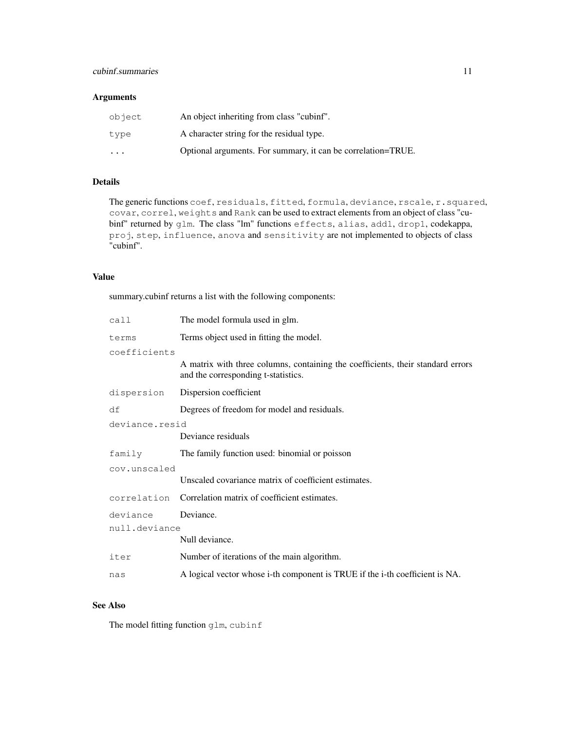# cubinf.summaries 11

# Arguments

| object                  | An object inheriting from class "cubinf".                    |
|-------------------------|--------------------------------------------------------------|
| type                    | A character string for the residual type.                    |
| $\cdot$ $\cdot$ $\cdot$ | Optional arguments. For summary, it can be correlation=TRUE. |

# Details

The generic functions coef, residuals, fitted, formula, deviance, rscale, r.squared, covar, correl, weights and Rank can be used to extract elements from an object of class "cubinf" returned by glm. The class "lm" functions effects, alias, add1, drop1, codekappa, proj, step, influence, anova and sensitivity are not implemented to objects of class "cubinf".

## Value

summary.cubinf returns a list with the following components:

| call           | The model formula used in glm.                                                                                         |
|----------------|------------------------------------------------------------------------------------------------------------------------|
| terms          | Terms object used in fitting the model.                                                                                |
| coefficients   |                                                                                                                        |
|                | A matrix with three columns, containing the coefficients, their standard errors<br>and the corresponding t-statistics. |
| dispersion     | Dispersion coefficient                                                                                                 |
| df             | Degrees of freedom for model and residuals.                                                                            |
| deviance.resid |                                                                                                                        |
|                | Deviance residuals                                                                                                     |
| family         | The family function used: binomial or poisson                                                                          |
| cov.unscaled   |                                                                                                                        |
|                | Unscaled covariance matrix of coefficient estimates.                                                                   |
| correlation    | Correlation matrix of coefficient estimates.                                                                           |
| deviance       | Deviance.                                                                                                              |
| null.deviance  |                                                                                                                        |
|                | Null deviance.                                                                                                         |
| iter           | Number of iterations of the main algorithm.                                                                            |
| nas            | A logical vector whose i-th component is TRUE if the i-th coefficient is NA.                                           |

# See Also

The model fitting function glm, cubinf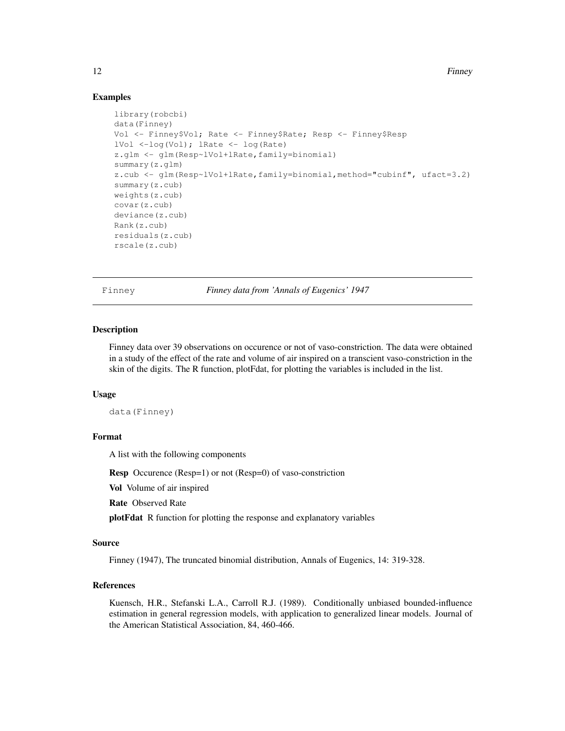12 Finney

#### Examples

```
library(robcbi)
data(Finney)
Vol <- Finney$Vol; Rate <- Finney$Rate; Resp <- Finney$Resp
lVol <-log(Vol); lRate <- log(Rate)
z.glm <- glm(Resp~lVol+lRate,family=binomial)
summary(z.glm)
z.cub <- glm(Resp~lVol+lRate,family=binomial,method="cubinf", ufact=3.2)
summary(z.cub)
weights(z.cub)
covar(z.cub)
deviance(z.cub)
Rank(z.cub)
residuals(z.cub)
rscale(z.cub)
```
Finney *Finney data from 'Annals of Eugenics' 1947*

#### Description

Finney data over 39 observations on occurence or not of vaso-constriction. The data were obtained in a study of the effect of the rate and volume of air inspired on a transcient vaso-constriction in the skin of the digits. The R function, plotFdat, for plotting the variables is included in the list.

#### Usage

data(Finney)

# Format

A list with the following components

Resp Occurence (Resp=1) or not (Resp=0) of vaso-constriction

Vol Volume of air inspired

Rate Observed Rate

plotFdat R function for plotting the response and explanatory variables

#### Source

Finney (1947), The truncated binomial distribution, Annals of Eugenics, 14: 319-328.

### References

Kuensch, H.R., Stefanski L.A., Carroll R.J. (1989). Conditionally unbiased bounded-influence estimation in general regression models, with application to generalized linear models. Journal of the American Statistical Association, 84, 460-466.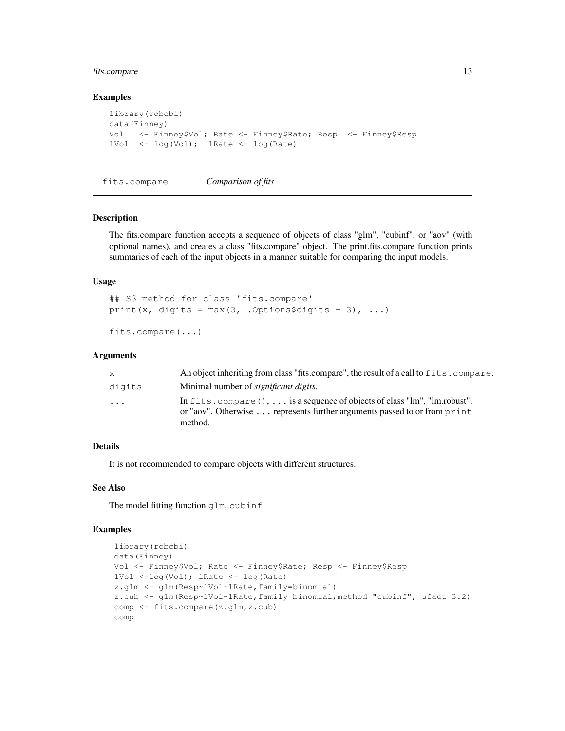# fits.compare 13

#### Examples

```
library(robcbi)
data(Finney)
Vol <- Finney$Vol; Rate <- Finney$Rate; Resp <- Finney$Resp
lVol <- log(Vol); lRate <- log(Rate)
```
fits.compare *Comparison of fits*

# Description

The fits.compare function accepts a sequence of objects of class "glm", "cubinf", or "aov" (with optional names), and creates a class "fits.compare" object. The print.fits.compare function prints summaries of each of the input objects in a manner suitable for comparing the input models.

# Usage

```
## S3 method for class 'fits.compare'
print(x, digits = max(3, .0ptions§digits - 3), ...)
```

```
fits.compare(...)
```
#### Arguments

| X.        | An object inheriting from class "fits.compare", the result of a call to fits.compare.                                                                                                        |
|-----------|----------------------------------------------------------------------------------------------------------------------------------------------------------------------------------------------|
| digits    | Minimal number of <i>significant digits</i> .                                                                                                                                                |
| $\ddotsc$ | In fits. compare $(0, \ldots)$ is a sequence of objects of class "lm", "lm.robust",<br>or "aov". Otherwise $\ldots$ represents further arguments passed to or from $\text{print}$<br>method. |

# Details

It is not recommended to compare objects with different structures.

#### See Also

The model fitting function qlm, cubinf

```
library(robcbi)
data(Finney)
Vol <- Finney$Vol; Rate <- Finney$Rate; Resp <- Finney$Resp
lVol <-log(Vol); lRate <- log(Rate)
z.glm <- glm(Resp~lVol+lRate,family=binomial)
z.cub <- glm(Resp~lVol+lRate,family=binomial,method="cubinf", ufact=3.2)
comp <- fits.compare(z.glm,z.cub)
comp
```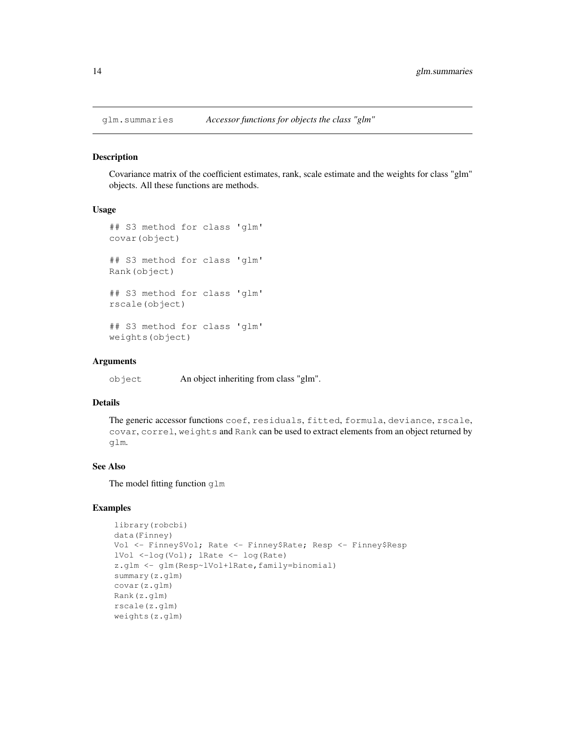Covariance matrix of the coefficient estimates, rank, scale estimate and the weights for class "glm" objects. All these functions are methods.

#### Usage

```
## S3 method for class 'glm'
covar(object)
## S3 method for class 'glm'
Rank(object)
## S3 method for class 'glm'
rscale(object)
## S3 method for class 'glm'
weights(object)
```
# Arguments

object An object inheriting from class "glm".

### Details

```
The generic accessor functions coef, residuals, fitted, formula, deviance, rscale,
covar, correl, weights and Rank can be used to extract elements from an object returned by
glm.
```
# See Also

The model fitting function glm

```
library(robcbi)
data(Finney)
Vol <- Finney$Vol; Rate <- Finney$Rate; Resp <- Finney$Resp
lVol <-log(Vol); lRate <- log(Rate)
z.glm <- glm(Resp~lVol+lRate,family=binomial)
summary(z.glm)
covar(z.glm)
Rank(z.glm)
rscale(z.glm)
weights(z.glm)
```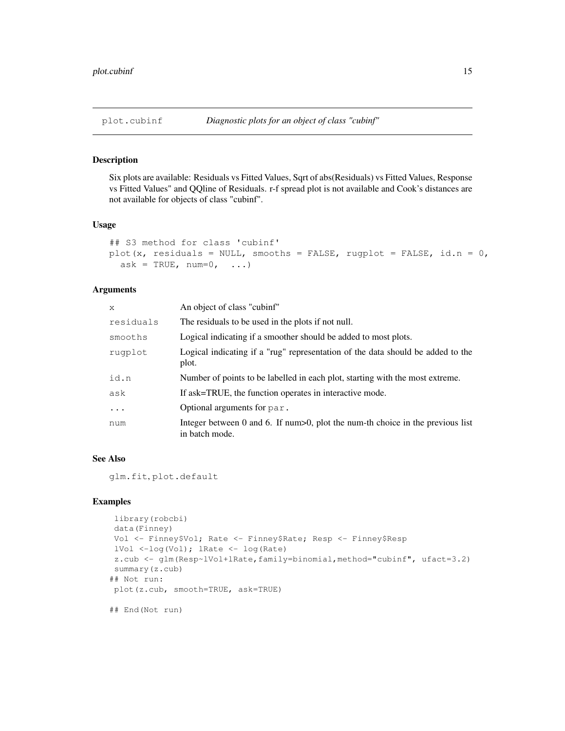Six plots are available: Residuals vs Fitted Values, Sqrt of abs(Residuals) vs Fitted Values, Response vs Fitted Values" and QQline of Residuals. r-f spread plot is not available and Cook's distances are not available for objects of class "cubinf".

#### Usage

```
## S3 method for class 'cubinf'
plot(x, residuals = NULL, smooths = FALSE, rugplot = FALSE, id.n = 0,
  ask = TRUE, num=0, ...
```
# Arguments

| x         | An object of class "cubinf"                                                                         |
|-----------|-----------------------------------------------------------------------------------------------------|
| residuals | The residuals to be used in the plots if not null.                                                  |
| smooths   | Logical indicating if a smoother should be added to most plots.                                     |
| rugplot   | Logical indicating if a "rug" representation of the data should be added to the<br>plot.            |
| id.n      | Number of points to be labelled in each plot, starting with the most extreme.                       |
| ask       | If ask=TRUE, the function operates in interactive mode.                                             |
| $\cdots$  | Optional arguments for par.                                                                         |
| num       | Integer between 0 and 6. If $num>0$ , plot the num-th choice in the previous list<br>in batch mode. |

#### See Also

glm.fit, plot.default

```
library(robcbi)
data(Finney)
Vol <- Finney$Vol; Rate <- Finney$Rate; Resp <- Finney$Resp
lVol <-log(Vol); lRate <- log(Rate)
z.cub <- glm(Resp~lVol+lRate,family=binomial,method="cubinf", ufact=3.2)
summary(z.cub)
## Not run:
plot(z.cub, smooth=TRUE, ask=TRUE)
## End(Not run)
```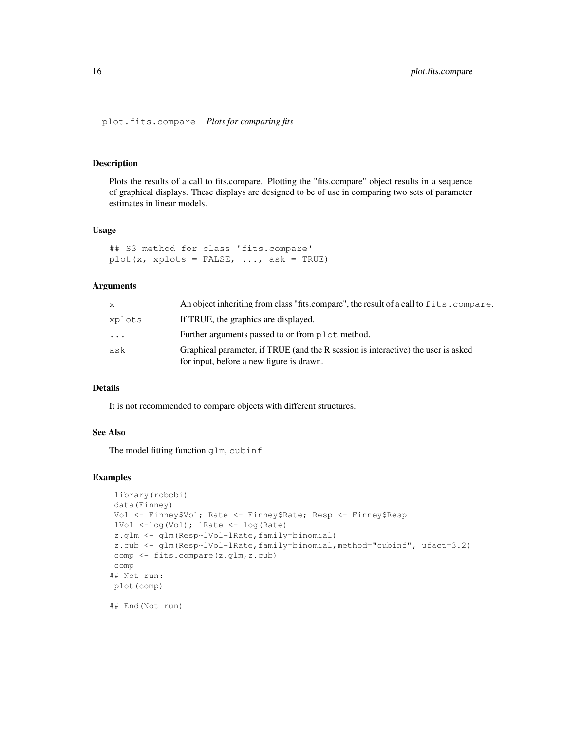Plots the results of a call to fits.compare. Plotting the "fits.compare" object results in a sequence of graphical displays. These displays are designed to be of use in comparing two sets of parameter estimates in linear models.

#### Usage

```
## S3 method for class 'fits.compare'
plot(x, xplots = FALSE, \ldots, ask = TRUE)
```
# Arguments

| X                       | An object inheriting from class "fits.compare", the result of a call to fits.compare.                                         |
|-------------------------|-------------------------------------------------------------------------------------------------------------------------------|
| xplots                  | If TRUE, the graphics are displayed.                                                                                          |
| $\cdot$ $\cdot$ $\cdot$ | Further arguments passed to or from plot method.                                                                              |
| ask                     | Graphical parameter, if TRUE (and the R session is interactive) the user is asked<br>for input, before a new figure is drawn. |

# Details

It is not recommended to compare objects with different structures.

# See Also

The model fitting function glm, cubinf

```
library(robcbi)
data(Finney)
Vol <- Finney$Vol; Rate <- Finney$Rate; Resp <- Finney$Resp
lVol <-log(Vol); lRate <- log(Rate)
z.glm <- glm(Resp~lVol+lRate,family=binomial)
z.cub <- glm(Resp~lVol+lRate,family=binomial,method="cubinf", ufact=3.2)
comp <- fits.compare(z.glm,z.cub)
comp
## Not run:
plot(comp)
## End(Not run)
```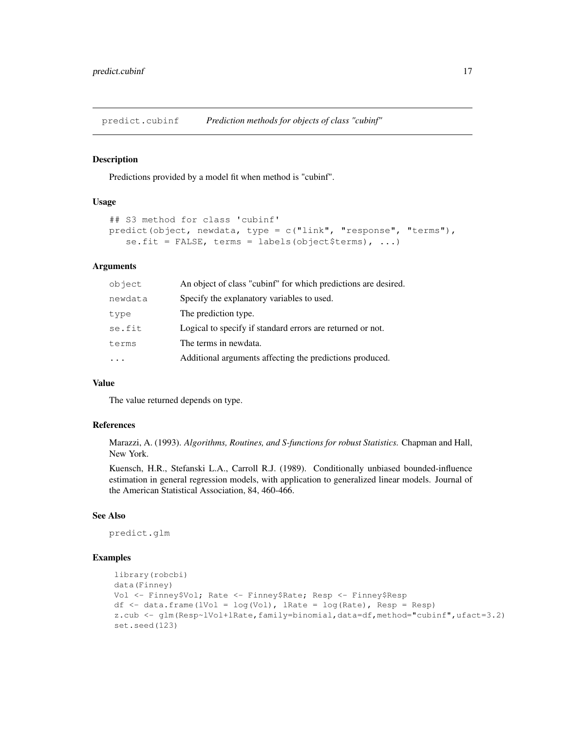predict.cubinf *Prediction methods for objects of class "cubinf"*

#### Description

Predictions provided by a model fit when method is "cubinf".

### Usage

```
## S3 method for class 'cubinf'
predict(object, newdata, type = c("link", "response", "terms"),
   se.fit = FALSE, terms = labels(object$terms), \ldots)
```
# Arguments

| Specify the explanatory variables to used.<br>newdata<br>The prediction type.<br>type<br>Logical to specify if standard errors are returned or not.<br>se.fit<br>The terms in newdata.<br>terms<br>Additional arguments affecting the predictions produced. | object | An object of class "cubinf" for which predictions are desired. |
|-------------------------------------------------------------------------------------------------------------------------------------------------------------------------------------------------------------------------------------------------------------|--------|----------------------------------------------------------------|
|                                                                                                                                                                                                                                                             |        |                                                                |
|                                                                                                                                                                                                                                                             |        |                                                                |
|                                                                                                                                                                                                                                                             |        |                                                                |
|                                                                                                                                                                                                                                                             |        |                                                                |
|                                                                                                                                                                                                                                                             |        |                                                                |

# Value

The value returned depends on type.

# References

Marazzi, A. (1993). *Algorithms, Routines, and S-functions for robust Statistics.* Chapman and Hall, New York.

Kuensch, H.R., Stefanski L.A., Carroll R.J. (1989). Conditionally unbiased bounded-influence estimation in general regression models, with application to generalized linear models. Journal of the American Statistical Association, 84, 460-466.

# See Also

predict.glm

```
library(robcbi)
data(Finney)
Vol <- Finney$Vol; Rate <- Finney$Rate; Resp <- Finney$Resp
df \leq data.frame(lVol = log(Vol), lRate = log(Rate), Resp = Resp)
z.cub <- glm(Resp~lVol+lRate,family=binomial,data=df,method="cubinf",ufact=3.2)
set.seed(123)
```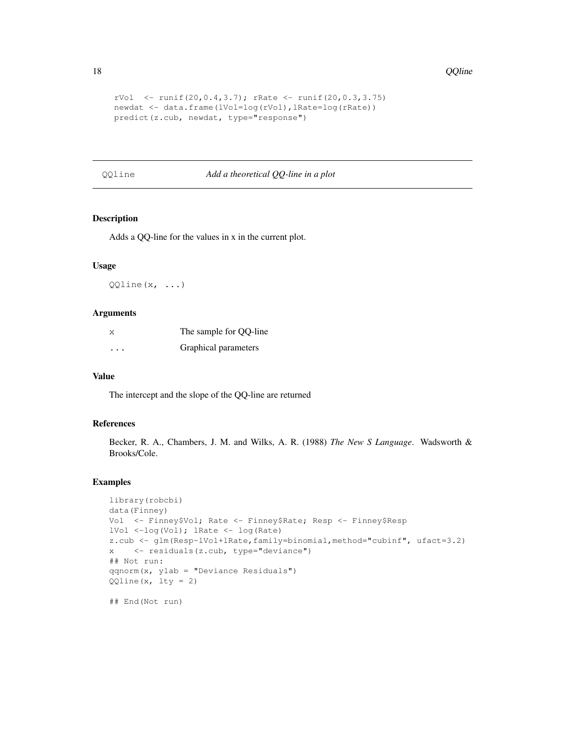```
rVol \le runif(20,0.4,3.7); rRate \le runif(20,0.3,3.75)
newdat <- data.frame(lVol=log(rVol),lRate=log(rRate))
predict(z.cub, newdat, type="response")
```
QQline *Add a theoretical QQ-line in a plot*

# Description

Adds a QQ-line for the values in x in the current plot.

#### Usage

 $QQline(x, \ldots)$ 

#### Arguments

| Х                    | The sample for QQ-line |
|----------------------|------------------------|
| $\ddot{\phantom{a}}$ | Graphical parameters   |

# Value

The intercept and the slope of the QQ-line are returned

#### References

Becker, R. A., Chambers, J. M. and Wilks, A. R. (1988) *The New S Language*. Wadsworth & Brooks/Cole.

```
library(robcbi)
data(Finney)
Vol <- Finney$Vol; Rate <- Finney$Rate; Resp <- Finney$Resp
lVol <-log(Vol); lRate <- log(Rate)
z.cub <- glm(Resp~lVol+lRate,family=binomial,method="cubinf", ufact=3.2)
x <- residuals(z.cub, type="deviance")
## Not run:
qqnorm(x, ylab = "Deviance Residuals")
QQline(x, lty = 2)## End(Not run)
```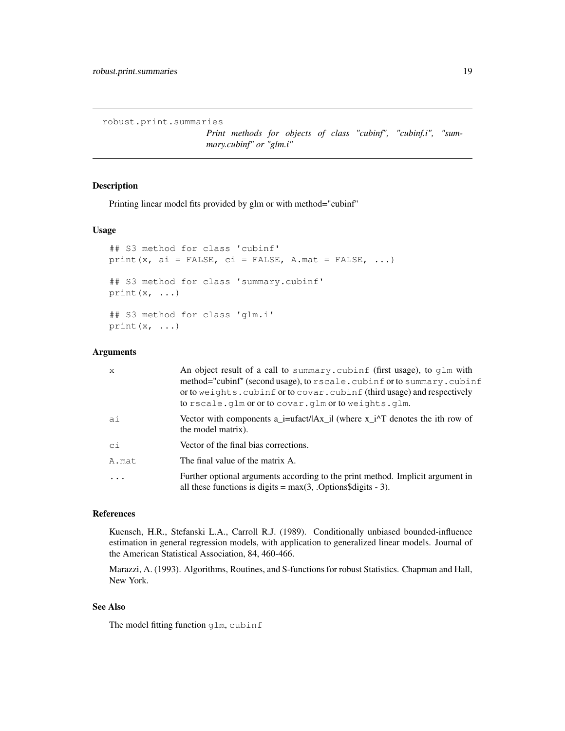```
robust.print.summaries
```
*Print methods for objects of class "cubinf", "cubinf.i", "summary.cubinf" or "glm.i"*

# Description

Printing linear model fits provided by glm or with method="cubinf"

#### Usage

```
## S3 method for class 'cubinf'
print(x, ai = FALSE, ci = FALSE, A.mat = FALSE, \ldots)
## S3 method for class 'summary.cubinf'
print(x, \ldots)## S3 method for class 'glm.i'
print(x, \ldots)
```
#### Arguments

| $\mathsf{x}$ | An object result of a call to summary. cubinf (first usage), to qlm with<br>method="cubinf" (second usage), to rscale.cubinf or to summary.cubinf<br>or to weights. cubinf or to covar. cubinf (third usage) and respectively<br>to rscale.glm or or to covar.glm or to weights.glm. |
|--------------|--------------------------------------------------------------------------------------------------------------------------------------------------------------------------------------------------------------------------------------------------------------------------------------|
| ai           | Vector with components a_i=ufact/ $ Ax_i $ (where $x_i^{\gamma}$ denotes the ith row of<br>the model matrix).                                                                                                                                                                        |
| ci           | Vector of the final bias corrections.                                                                                                                                                                                                                                                |
| A.mat        | The final value of the matrix A.                                                                                                                                                                                                                                                     |
|              | Further optional arguments according to the print method. Implicit argument in<br>all these functions is digits $= max(3, .Options\$ igits - 3).                                                                                                                                     |

#### References

Kuensch, H.R., Stefanski L.A., Carroll R.J. (1989). Conditionally unbiased bounded-influence estimation in general regression models, with application to generalized linear models. Journal of the American Statistical Association, 84, 460-466.

Marazzi, A. (1993). Algorithms, Routines, and S-functions for robust Statistics. Chapman and Hall, New York.

### See Also

The model fitting function glm, cubinf